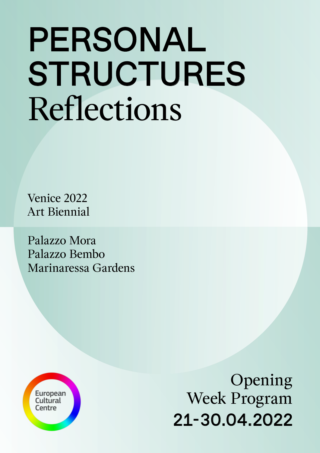# Reflections PERSONAL **STRUCTURES**

Venice 2022 Art Biennial

Palazzo Mora Palazzo Bembo Marinaressa Gardens



Opening Week Program 21-30.04.2022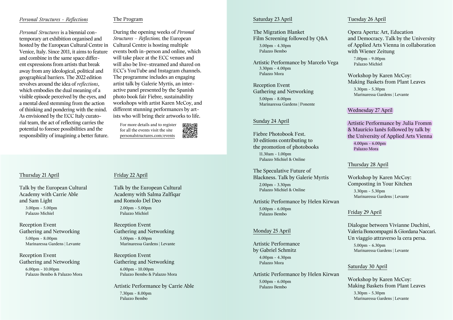## *Personal Structures - Reflections*

The Program

*Personal Structures* is a biennial contemporary art exhibition organised and hosted by the European Cultural Centre in Venice, Italy. Since 2011, it aims to feature and combine in the same space different expressions from artists that break away from any ideological, political and geographical barriers. The 2022 edition revolves around the idea of *reflections*, which embodies the dual meaning of a visible episode perceived by the eyes, and a mental deed stemming from the action of thinking and pondering with the mind. As envisioned by the ECC Italy curatorial team, the act of reflecting carries the potential to foresee possibilities and the responsibility of imagining a better future.

During the opening weeks of *Personal Structures – Reflections,* the European Cultural Centre is hosting multiple events both in-person and online, which will take place at the ECC venues and will also be live-streamed and shared on ECC's YouTube and Instagram channels. The programme includes an engaging artist talk by Galerie Myrtis, an interactive panel presented by the Spanish photo book fair Fiebre, sustainability workshops with artist Karen McCoy, and different stunning performances by artists who will bring their artworks to life.

For more details and to register for all the events visit the site [personalstructures.com/events](https://personalstructures.com/events/)



## Thursday 21 April

Talk by the European Cultural Academy with Carrie Able and Sam Light

3.00pm - 5.00pm Palazzo Michiel

Reception Event Gathering and Networking

5.00pm - 8.00pm Marinaressa Gardens | Levante

Reception Event Gathering and Networking 6.00pm - 10.00pm Palazzo Bembo & Palazzo Mora

#### Friday 22 April

Talk by the European Cultural Academy with Salma Zulfiqar and Romolo Del Deo  $2.00$ pm - 5.00pm Palazzo Michiel

Reception Event Gathering and Networking 5.00pm - 8.00pm Marinaressa Gardens | Levante

Reception Event Gathering and Networking 6.00pm - 10.00pm Palazzo Bembo & Palazzo Mora

Artistic Performance by Carrie Able 7.30pm - 8.00pm Palazzo Bembo

#### Saturday 23 April

The Migration Blanket Film Screening followed by Q&A 3.00pm - 4.30pm Palazzo Bembo

Artistic Performance by Marcelo Vega 3.30pm - 4.00pm Palazzo Mora

Reception Event Gathering and Networking 5.00pm - 8.00pm Marinaressa Gardens | Ponente

## Sunday 24 April

Fiebre Photobook Fest. 10 editions contributing to the promotion of photobooks 11.30am - 1.00pm Palazzo Michiel & Online

The Speculative Future of Blackness. Talk by Galerie Myrtis 2.00pm - 3.30pm Palazzo Michiel & Online

Artistic Performance by Helen Kirwan 5.00pm - 6.00pm Palazzo Bembo

#### Monday 25 April

Artistic Performance by Gabriel Schmitz

4.00pm - 4.30pm Palazzo Mora

Artistic Performance by Helen Kirwan 5.00pm - 6.00pm Palazzo Bembo

## Tuesday 26 April

Opera Aperta: Art, Education and Democracy. Talk by the University of Applied Arts Vienna in collaboration with Wiener Zeitung

7.00pm - 9.00pm Palazzo Michiel

Workshop by Karen McCoy: Making Baskets from Plant Leaves

3.30pm - 5.30pm Marinaressa Gardens | Levante

### Wednesday 27 April

Artistic Performance by Julia Fromm & Maurício Ianês followed by talk by the University of Applied Arts Vienna

4.00pm - 6.00pm Palazzo Mora

#### Thursday 28 April

Workshop by Karen McCoy: Composting in Your Kitchen 3.30pm - 5.30pm Marinaressa Gardens | Levante

#### Friday 29 April

Dialogue between Vivianne Duchini, Valeria Boncompagni & Giordana Naccari. Un viaggio attraverso la cera persa.

5.00pm - 6.30pm Marinaressa Gardens | Levante

#### Saturday 30 April

Workshop by Karen McCoy: Making Baskets from Plant Leaves 3.30pm - 5.30pm Marinaressa Gardens | Levante